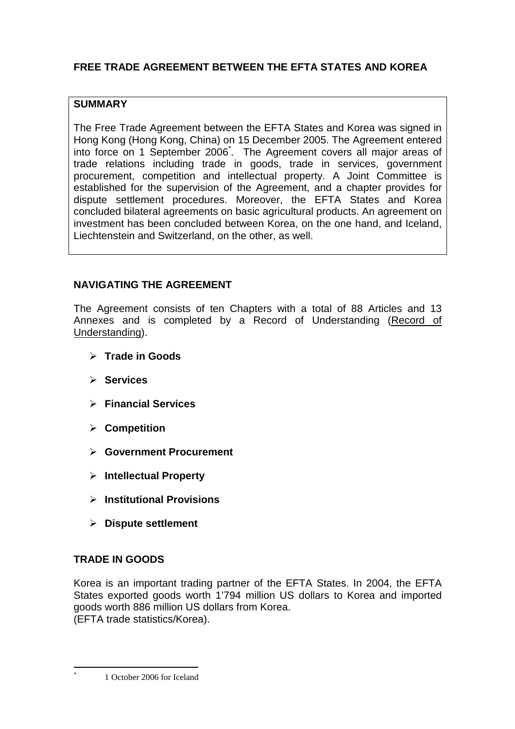# **FREE TRADE AGREEMENT BETWEEN THE EFTA STATES AND KOREA**

## **SUMMARY**

The Free Trade Agreement between the EFTA States and Korea was signed in Hong Kong (Hong Kong, China) on 15 December 2005. The Agreement entered into force on 1 September 2006<sup>\*</sup>. The Agreement covers all major areas of trade relations including trade in goods, trade in services, government procurement, competition and intellectual property. A Joint Committee is established for the supervision of the Agreement, and a chapter provides for dispute settlement procedures. Moreover, the EFTA States and Korea concluded bilateral agreements on basic agricultural products. An agreement on investment has been concluded between Korea, on the one hand, and Iceland, Liechtenstein and Switzerland, on the other, as well.

## **NAVIGATING THE AGREEMENT**

The Agreement consists of ten Chapters with a total of 88 Articles and 13 Annexes and is completed by a Record of Understanding (Record of Understanding).

- **Trade in Goods**
- **Services**
- **Financial Services**
- **Competition**
- **Government Procurement**
- **Intellectual Property**
- **Institutional Provisions**
- **Dispute settlement**

## **TRADE IN GOODS**

 $\overline{a}$ \*

Korea is an important trading partner of the EFTA States. In 2004, the EFTA States exported goods worth 1'794 million US dollars to Korea and imported goods worth 886 million US dollars from Korea. (EFTA trade statistics/Korea).

1 October 2006 for Iceland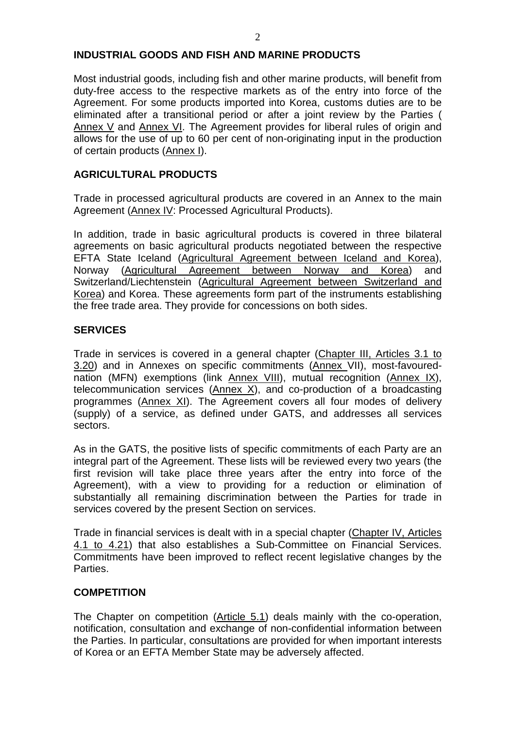## **INDUSTRIAL GOODS AND FISH AND MARINE PRODUCTS**

Most industrial goods, including fish and other marine products, will benefit from duty-free access to the respective markets as of the entry into force of the Agreement. For some products imported into Korea, customs duties are to be eliminated after a transitional period or after a joint review by the Parties ( Annex V and Annex VI. The Agreement provides for liberal rules of origin and allows for the use of up to 60 per cent of non-originating input in the production of certain products (Annex I).

## **AGRICULTURAL PRODUCTS**

Trade in processed agricultural products are covered in an Annex to the main Agreement (Annex IV: Processed Agricultural Products).

In addition, trade in basic agricultural products is covered in three bilateral agreements on basic agricultural products negotiated between the respective EFTA State Iceland (Agricultural Agreement between Iceland and Korea), Norway (Agricultural Agreement between Norway and Korea) and Switzerland/Liechtenstein (Agricultural Agreement between Switzerland and Korea) and Korea. These agreements form part of the instruments establishing the free trade area. They provide for concessions on both sides.

## **SERVICES**

Trade in services is covered in a general chapter (Chapter III, Articles 3.1 to 3.20) and in Annexes on specific commitments (Annex VII), most-favourednation (MFN) exemptions (link Annex VIII), mutual recognition (Annex IX), telecommunication services  $(Annex X)$ , and co-production of a broadcasting programmes (Annex XI). The Agreement covers all four modes of delivery (supply) of a service, as defined under GATS, and addresses all services sectors.

As in the GATS, the positive lists of specific commitments of each Party are an integral part of the Agreement. These lists will be reviewed every two years (the first revision will take place three years after the entry into force of the Agreement), with a view to providing for a reduction or elimination of substantially all remaining discrimination between the Parties for trade in services covered by the present Section on services.

Trade in financial services is dealt with in a special chapter (Chapter IV, Articles 4.1 to 4.21) that also establishes a Sub-Committee on Financial Services. Commitments have been improved to reflect recent legislative changes by the Parties.

#### **COMPETITION**

The Chapter on competition (Article 5.1) deals mainly with the co-operation, notification, consultation and exchange of non-confidential information between the Parties. In particular, consultations are provided for when important interests of Korea or an EFTA Member State may be adversely affected.